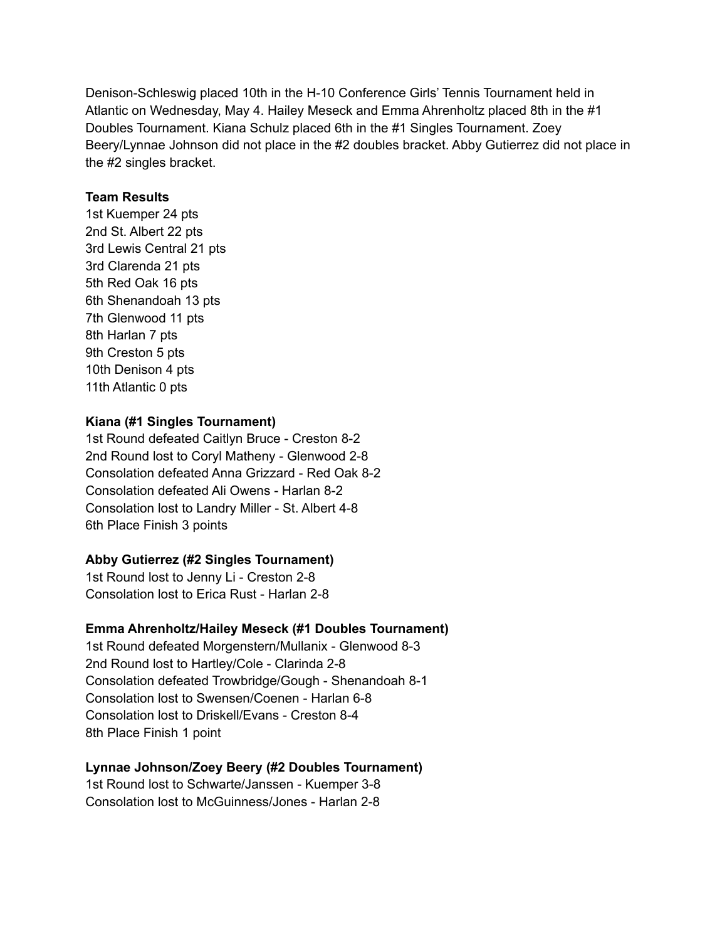Denison-Schleswig placed 10th in the H-10 Conference Girls' Tennis Tournament held in Atlantic on Wednesday, May 4. Hailey Meseck and Emma Ahrenholtz placed 8th in the #1 Doubles Tournament. Kiana Schulz placed 6th in the #1 Singles Tournament. Zoey Beery/Lynnae Johnson did not place in the #2 doubles bracket. Abby Gutierrez did not place in the #2 singles bracket.

#### **Team Results**

1st Kuemper 24 pts 2nd St. Albert 22 pts 3rd Lewis Central 21 pts 3rd Clarenda 21 pts 5th Red Oak 16 pts 6th Shenandoah 13 pts 7th Glenwood 11 pts 8th Harlan 7 pts 9th Creston 5 pts 10th Denison 4 pts 11th Atlantic 0 pts

## **Kiana (#1 Singles Tournament)**

1st Round defeated Caitlyn Bruce - Creston 8-2 2nd Round lost to Coryl Matheny - Glenwood 2-8 Consolation defeated Anna Grizzard - Red Oak 8-2 Consolation defeated Ali Owens - Harlan 8-2 Consolation lost to Landry Miller - St. Albert 4-8 6th Place Finish 3 points

### **Abby Gutierrez (#2 Singles Tournament)**

1st Round lost to Jenny Li - Creston 2-8 Consolation lost to Erica Rust - Harlan 2-8

### **Emma Ahrenholtz/Hailey Meseck (#1 Doubles Tournament)**

1st Round defeated Morgenstern/Mullanix - Glenwood 8-3 2nd Round lost to Hartley/Cole - Clarinda 2-8 Consolation defeated Trowbridge/Gough - Shenandoah 8-1 Consolation lost to Swensen/Coenen - Harlan 6-8 Consolation lost to Driskell/Evans - Creston 8-4 8th Place Finish 1 point

### **Lynnae Johnson/Zoey Beery (#2 Doubles Tournament)**

1st Round lost to Schwarte/Janssen - Kuemper 3-8 Consolation lost to McGuinness/Jones - Harlan 2-8